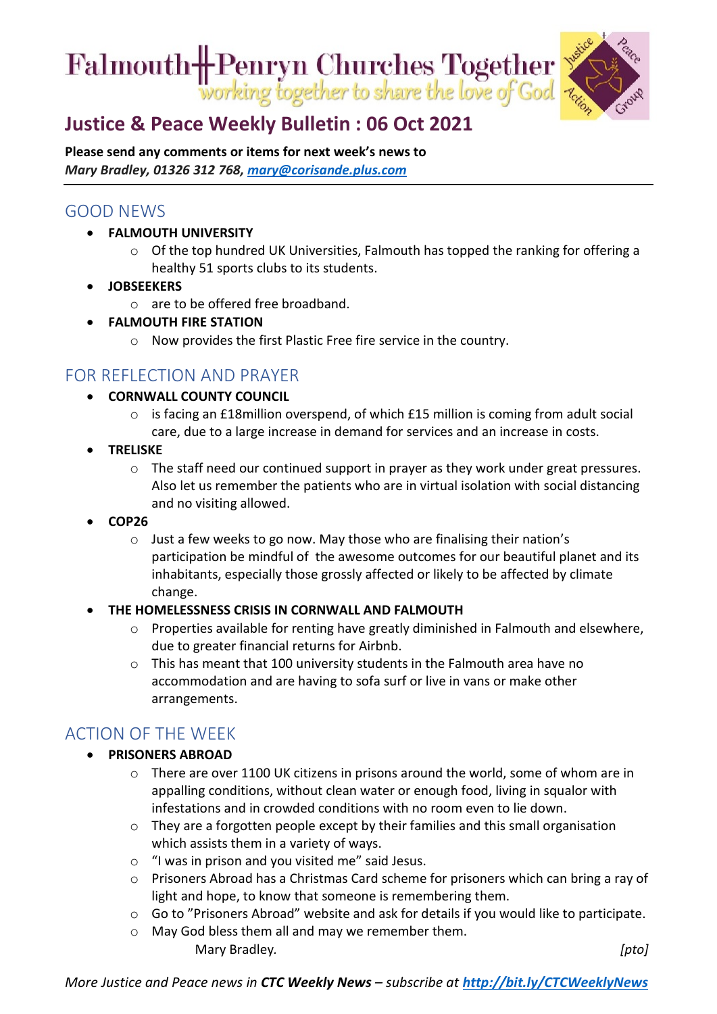Falmouth HPenryn Churches Together



# **[Justice & Peace Weekly Bulletin : 06 Oct](https://ctcinfohub.us20.list-manage.com/track/click?u=b645f09ec283e4df6750ff7ee&id=b04d1aea1f&e=5e2c195eda) 2021**

**Please send any comments or items for next week's news to**  *Mary Bradley, 01326 312 768, [mary@corisande.plus.com](mailto:mary@corisande.plus.com)*

## GOOD NEWS

- **FALMOUTH UNIVERSITY**
	- o Of the top hundred UK Universities, Falmouth has topped the ranking for offering a healthy 51 sports clubs to its students.
- **JOBSEEKERS**
	- o are to be offered free broadband.
- **FALMOUTH FIRE STATION**
	- o Now provides the first Plastic Free fire service in the country.

### FOR REFLECTION AND PRAYER

- **CORNWALL COUNTY COUNCIL** 
	- o is facing an £18million overspend, of which £15 million is coming from adult social care, due to a large increase in demand for services and an increase in costs.
- **TRELISKE**
	- o The staff need our continued support in prayer as they work under great pressures. Also let us remember the patients who are in virtual isolation with social distancing and no visiting allowed.
- **COP26**
	- o Just a few weeks to go now. May those who are finalising their nation's participation be mindful of the awesome outcomes for our beautiful planet and its inhabitants, especially those grossly affected or likely to be affected by climate change.

#### • **THE HOMELESSNESS CRISIS IN CORNWALL AND FALMOUTH**

- $\circ$  Properties available for renting have greatly diminished in Falmouth and elsewhere, due to greater financial returns for Airbnb.
- o This has meant that 100 university students in the Falmouth area have no accommodation and are having to sofa surf or live in vans or make other arrangements.

### ACTION OF THE WEEK

- **PRISONERS ABROAD**
	- $\circ$  There are over 1100 UK citizens in prisons around the world, some of whom are in appalling conditions, without clean water or enough food, living in squalor with infestations and in crowded conditions with no room even to lie down.
	- $\circ$  They are a forgotten people except by their families and this small organisation which assists them in a variety of ways.
	- o "I was in prison and you visited me" said Jesus.
	- o Prisoners Abroad has a Christmas Card scheme for prisoners which can bring a ray of light and hope, to know that someone is remembering them.
	- o Go to "Prisoners Abroad" website and ask for details if you would like to participate.
	- o May God bless them all and may we remember them. Mary Bradley*. [pto]*